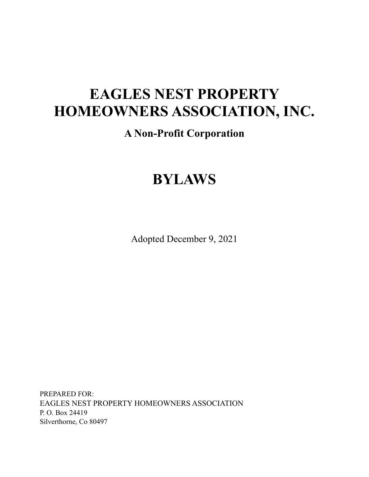# **EAGLES NEST PROPERTY HOMEOWNERS ASSOCIATION, INC.**

# **A Non-Profit Corporation**

# **BYLAWS**

Adopted December 9, 2021

PREPARED FOR: EAGLES NEST PROPERTY HOMEOWNERS ASSOCIATION P. O. Box 24419 Silverthorne, Co 80497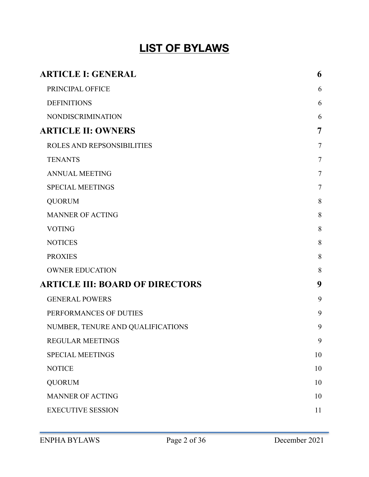# **LIST OF BYLAWS**

| <b>ARTICLE I: GENERAL</b>              | 6              |
|----------------------------------------|----------------|
| PRINCIPAL OFFICE                       | 6              |
| <b>DEFINITIONS</b>                     | 6              |
| <b>NONDISCRIMINATION</b>               | 6              |
| <b>ARTICLE II: OWNERS</b>              | $\overline{7}$ |
| ROLES AND REPSONSIBILITIES             | $\overline{7}$ |
| <b>TENANTS</b>                         | $\tau$         |
| <b>ANNUAL MEETING</b>                  | $\tau$         |
| <b>SPECIAL MEETINGS</b>                | $\tau$         |
| <b>QUORUM</b>                          | 8              |
| <b>MANNER OF ACTING</b>                | 8              |
| <b>VOTING</b>                          | 8              |
| <b>NOTICES</b>                         | 8              |
| <b>PROXIES</b>                         | 8              |
| <b>OWNER EDUCATION</b>                 | 8              |
| <b>ARTICLE III: BOARD OF DIRECTORS</b> | 9              |
| <b>GENERAL POWERS</b>                  | 9              |
| PERFORMANCES OF DUTIES                 | 9              |
| NUMBER, TENURE AND QUALIFICATIONS      | 9              |
| <b>REGULAR MEETINGS</b>                | 9              |
| <b>SPECIAL MEETINGS</b>                | 10             |
| <b>NOTICE</b>                          | 10             |
| <b>QUORUM</b>                          | 10             |
| <b>MANNER OF ACTING</b>                | 10             |
| <b>EXECUTIVE SESSION</b>               | 11             |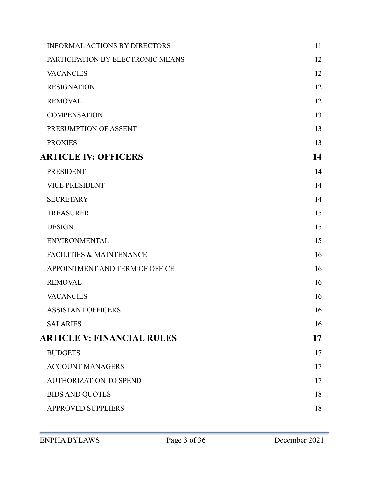| <b>INFORMAL ACTIONS BY DIRECTORS</b> | 11 |
|--------------------------------------|----|
| PARTICIPATION BY ELECTRONIC MEANS    | 12 |
| <b>VACANCIES</b>                     | 12 |
| <b>RESIGNATION</b>                   | 12 |
| <b>REMOVAL</b>                       | 12 |
| <b>COMPENSATION</b>                  | 13 |
| PRESUMPTION OF ASSENT                | 13 |
| <b>PROXIES</b>                       | 13 |
| <b>ARTICLE IV: OFFICERS</b>          | 14 |
| <b>PRESIDENT</b>                     | 14 |
| <b>VICE PRESIDENT</b>                | 14 |
| <b>SECRETARY</b>                     | 14 |
| <b>TREASURER</b>                     | 15 |
| <b>DESIGN</b>                        | 15 |
| <b>ENVIRONMENTAL</b>                 | 15 |
| <b>FACILITIES &amp; MAINTENANCE</b>  | 16 |
| APPOINTMENT AND TERM OF OFFICE       | 16 |
| <b>REMOVAL</b>                       | 16 |
| <b>VACANCIES</b>                     | 16 |
| <b>ASSISTANT OFFICERS</b>            | 16 |
| <b>SALARIES</b>                      | 16 |
| <b>ARTICLE V: FINANCIAL RULES</b>    | 17 |
| <b>BUDGETS</b>                       | 17 |
| <b>ACCOUNT MANAGERS</b>              | 17 |
| <b>AUTHORIZATION TO SPEND</b>        | 17 |
| <b>BIDS AND QUOTES</b>               | 18 |
| <b>APPROVED SUPPLIERS</b>            | 18 |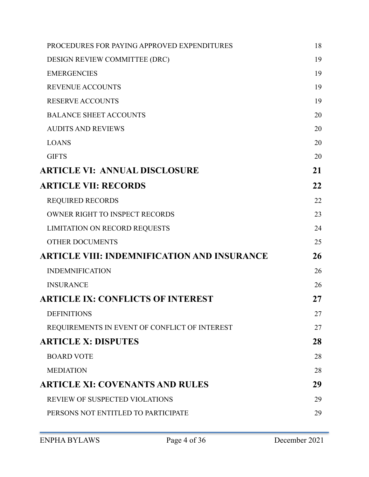| PROCEDURES FOR PAYING APPROVED EXPENDITURES        | 18 |
|----------------------------------------------------|----|
| DESIGN REVIEW COMMITTEE (DRC)                      | 19 |
| <b>EMERGENCIES</b>                                 | 19 |
| <b>REVENUE ACCOUNTS</b>                            | 19 |
| <b>RESERVE ACCOUNTS</b>                            | 19 |
| <b>BALANCE SHEET ACCOUNTS</b>                      | 20 |
| <b>AUDITS AND REVIEWS</b>                          | 20 |
| <b>LOANS</b>                                       | 20 |
| <b>GIFTS</b>                                       | 20 |
| <b>ARTICLE VI: ANNUAL DISCLOSURE</b>               | 21 |
| <b>ARTICLE VII: RECORDS</b>                        | 22 |
| <b>REQUIRED RECORDS</b>                            | 22 |
| <b>OWNER RIGHT TO INSPECT RECORDS</b>              | 23 |
| <b>LIMITATION ON RECORD REQUESTS</b>               | 24 |
| <b>OTHER DOCUMENTS</b>                             | 25 |
| <b>ARTICLE VIII: INDEMNIFICATION AND INSURANCE</b> | 26 |
| <b>INDEMNIFICATION</b>                             | 26 |
| <b>INSURANCE</b>                                   | 26 |
| <b>ARTICLE IX: CONFLICTS OF INTEREST</b>           | 27 |
| <b>DEFINITIONS</b>                                 | 27 |
| REQUIREMENTS IN EVENT OF CONFLICT OF INTEREST      | 27 |
| <b>ARTICLE X: DISPUTES</b>                         | 28 |
| <b>BOARD VOTE</b>                                  | 28 |
| <b>MEDIATION</b>                                   | 28 |
| <b>ARTICLE XI: COVENANTS AND RULES</b>             | 29 |
| REVIEW OF SUSPECTED VIOLATIONS                     | 29 |
| PERSONS NOT ENTITLED TO PARTICIPATE                | 29 |
|                                                    |    |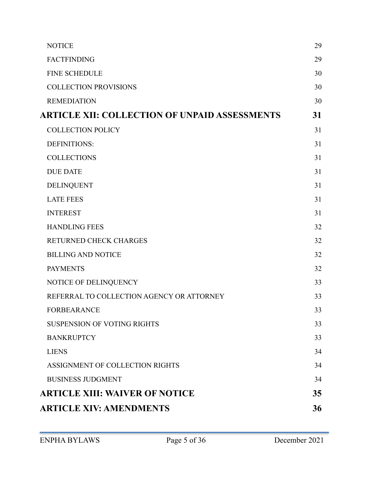| <b>NOTICE</b>                                        | 29 |
|------------------------------------------------------|----|
| <b>FACTFINDING</b>                                   | 29 |
| <b>FINE SCHEDULE</b>                                 | 30 |
| <b>COLLECTION PROVISIONS</b>                         | 30 |
| <b>REMEDIATION</b>                                   | 30 |
| <b>ARTICLE XII: COLLECTION OF UNPAID ASSESSMENTS</b> | 31 |
| <b>COLLECTION POLICY</b>                             | 31 |
| <b>DEFINITIONS:</b>                                  | 31 |
| <b>COLLECTIONS</b>                                   | 31 |
| <b>DUE DATE</b>                                      | 31 |
| <b>DELINQUENT</b>                                    | 31 |
| <b>LATE FEES</b>                                     | 31 |
| <b>INTEREST</b>                                      | 31 |
| <b>HANDLING FEES</b>                                 | 32 |
| RETURNED CHECK CHARGES                               | 32 |
| <b>BILLING AND NOTICE</b>                            | 32 |
| <b>PAYMENTS</b>                                      | 32 |
| NOTICE OF DELINQUENCY                                | 33 |
| REFERRAL TO COLLECTION AGENCY OR ATTORNEY            | 33 |
| <b>FORBEARANCE</b>                                   | 33 |
| <b>SUSPENSION OF VOTING RIGHTS</b>                   | 33 |
| <b>BANKRUPTCY</b>                                    | 33 |
| <b>LIENS</b>                                         | 34 |
| ASSIGNMENT OF COLLECTION RIGHTS                      | 34 |
| <b>BUSINESS JUDGMENT</b>                             | 34 |
| <b>ARTICLE XIII: WAIVER OF NOTICE</b>                | 35 |
| <b>ARTICLE XIV: AMENDMENTS</b>                       | 36 |
|                                                      |    |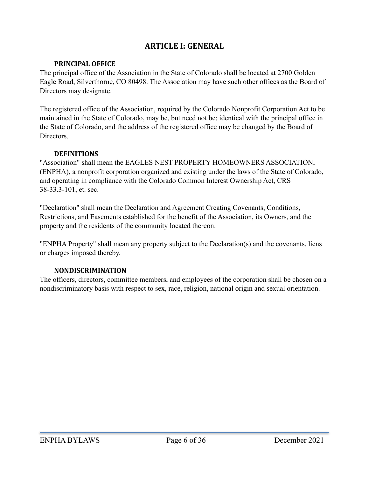# <span id="page-5-0"></span>**ARTICLE I: GENERAL**

## <span id="page-5-1"></span>**PRINCIPAL OFFICE**

The principal office of the Association in the State of Colorado shall be located at 2700 Golden Eagle Road, Silverthorne, CO 80498. The Association may have such other offices as the Board of Directors may designate.

The registered office of the Association, required by the Colorado Nonprofit Corporation Act to be maintained in the State of Colorado, may be, but need not be; identical with the principal office in the State of Colorado, and the address of the registered office may be changed by the Board of Directors.

## <span id="page-5-2"></span>**DEFINITIONS**

"Association" shall mean the EAGLES NEST PROPERTY HOMEOWNERS ASSOCIATION, (ENPHA), a nonprofit corporation organized and existing under the laws of the State of Colorado, and operating in compliance with the Colorado Common Interest Ownership Act, CRS 38-33.3-101, et. sec.

"Declaration" shall mean the Declaration and Agreement Creating Covenants, Conditions, Restrictions, and Easements established for the benefit of the Association, its Owners, and the property and the residents of the community located thereon.

"ENPHA Property" shall mean any property subject to the Declaration(s) and the covenants, liens or charges imposed thereby.

#### <span id="page-5-3"></span>**NONDISCRIMINATION**

The officers, directors, committee members, and employees of the corporation shall be chosen on a nondiscriminatory basis with respect to sex, race, religion, national origin and sexual orientation.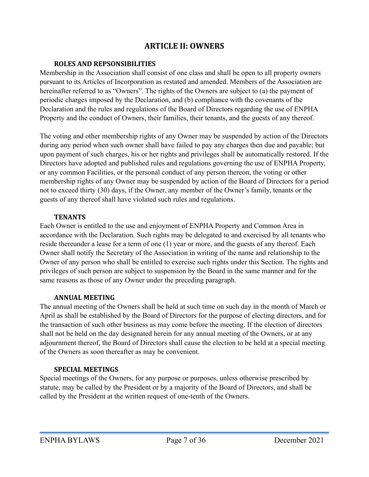# <span id="page-6-0"></span>**ARTICLE II: OWNERS**

## <span id="page-6-1"></span>**ROLES AND REPSONSIBILITIES**

Membership in the Association shall consist of one class and shall be open to all property owners pursuant to its Articles of Incorporation as restated and amended. Members of the Association are hereinafter referred to as "Owners". The rights of the Owners are subject to (a) the payment of periodic charges imposed by the Declaration, and (b) compliance with the covenants of the Declaration and the rules and regulations of the Board of Directors regarding the use of ENPHA Property and the conduct of Owners, their families, their tenants, and the guests of any thereof.

The voting and other membership rights of any Owner may be suspended by action of the Directors during any period when such owner shall have failed to pay any charges then due and payable; but upon payment of such charges, his or her rights and privileges shall be automatically restored. If the Directors have adopted and published rules and regulations governing the use of ENPHA Property, or any common Facilities, or the personal conduct of any person thereon, the voting or other membership rights of any Owner may be suspended by action of the Board of Directors for a period not to exceed thirty (30) days, if the Owner, any member of the Owner's family, tenants or the guests of any thereof shall have violated such rules and regulations.

## <span id="page-6-2"></span>**TENANTS**

Each Owner is entitled to the use and enjoyment of ENPHA Property and Common Area in accordance with the Declaration. Such rights may be delegated to and exercised by all tenants who reside thereunder a lease for a term of one (1) year or more, and the guests of any thereof. Each Owner shall notify the Secretary of the Association in writing of the name and relationship to the Owner of any person who shall be entitled to exercise such rights under this Section. The rights and privileges of such person are subject to suspension by the Board in the same manner and for the same reasons as those of any Owner under the preceding paragraph.

#### <span id="page-6-3"></span>**ANNUAL MEETING**

The annual meeting of the Owners shall be held at such time on such day in the month of March or April as shall be established by the Board of Directors for the purpose of electing directors, and for the transaction of such other business as may come before the meeting. If the election of directors shall not be held on the day designated herein for any annual meeting of the Owners, or at any adjournment thereof, the Board of Directors shall cause the election to be held at a special meeting of the Owners as soon thereafter as may be convenient.

## <span id="page-6-4"></span>**SPECIAL MEETINGS**

Special meetings of the Owners, for any purpose or purposes, unless otherwise prescribed by statute, may be called by the President or by a majority of the Board of Directors, and shall be called by the President at the written request of one-tenth of the Owners.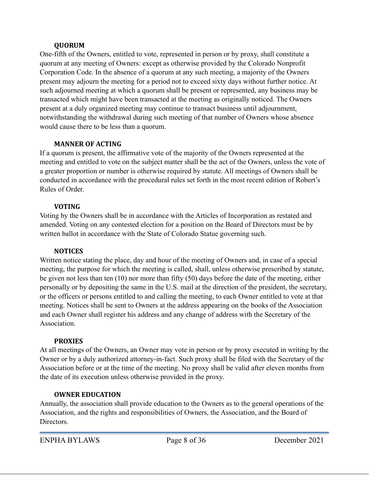## <span id="page-7-0"></span>**QUORUM**

One-fifth of the Owners, entitled to vote, represented in person or by proxy, shall constitute a quorum at any meeting of Owners: except as otherwise provided by the Colorado Nonprofit Corporation Code. In the absence of a quorum at any such meeting, a majority of the Owners present may adjourn the meeting for a period not to exceed sixty days without further notice. At such adjourned meeting at which a quorum shall be present or represented, any business may be transacted which might have been transacted at the meeting as originally noticed. The Owners present at a duly organized meeting may continue to transact business until adjournment, notwithstanding the withdrawal during such meeting of that number of Owners whose absence would cause there to be less than a quorum.

## <span id="page-7-1"></span>**MANNER OF ACTING**

If a quorum is present, the affirmative vote of the majority of the Owners represented at the meeting and entitled to vote on the subject matter shall be the act of the Owners, unless the vote of a greater proportion or number is otherwise required by statute. All meetings of Owners shall be conducted in accordance with the procedural rules set forth in the most recent edition of Robert's Rules of Order.

## <span id="page-7-2"></span>**VOTING**

Voting by the Owners shall be in accordance with the Articles of Incorporation as restated and amended. Voting on any contested election for a position on the Board of Directors must be by written ballot in accordance with the State of Colorado Statue governing such.

## <span id="page-7-3"></span>**NOTICES**

Written notice stating the place, day and hour of the meeting of Owners and, in case of a special meeting, the purpose for which the meeting is called, shall, unless otherwise prescribed by statute, be given not less than ten (10) nor more than fifty (50) days before the date of the meeting, either personally or by depositing the same in the U.S. mail at the direction of the president, the secretary, or the officers or persons entitled to and calling the meeting, to each Owner entitled to vote at that meeting. Notices shall be sent to Owners at the address appearing on the books of the Association and each Owner shall register his address and any change of address with the Secretary of the **Association** 

## <span id="page-7-4"></span>**PROXIES**

At all meetings of the Owners, an Owner may vote in person or by proxy executed in writing by the Owner or by a duly authorized attorney-in-fact. Such proxy shall be filed with the Secretary of the Association before or at the time of the meeting. No proxy shall be valid after eleven months from the date of its execution unless otherwise provided in the proxy.

## <span id="page-7-5"></span>**OWNER EDUCATION**

Annually, the association shall provide education to the Owners as to the general operations of the Association, and the rights and responsibilities of Owners, the Association, and the Board of Directors.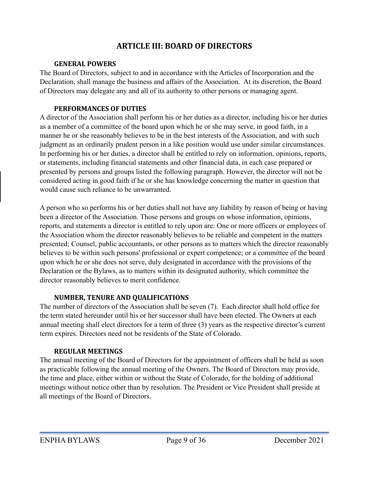# <span id="page-8-0"></span>**ARTICLE III: BOARD OF DIRECTORS**

## <span id="page-8-1"></span>**GENERAL POWERS**

The Board of Directors, subject to and in accordance with the Articles of Incorporation and the Declaration, shall manage the business and affairs of the Association. At its discretion, the Board of Directors may delegate any and all of its authority to other persons or managing agent.

## <span id="page-8-2"></span>**PERFORMANCES OF DUTIES**

A director of the Association shall perform his or her duties as a director, including his or her duties as a member of a committee of the board upon which he or she may serve, in good faith, in a manner he or she reasonably believes to be in the best interests of the Association, and with such judgment as an ordinarily prudent person in a like position would use under similar circumstances. In performing his or her duties, a director shall be entitled to rely on information, opinions, reports, or statements, including financial statements and other financial data, in each case prepared or presented by persons and groups listed the following paragraph. However, the director will not be considered acting in good faith if he or she has knowledge concerning the matter in question that would cause such reliance to be unwarranted.

A person who so performs his or her duties shall not have any liability by reason of being or having been a director of the Association. Those persons and groups on whose information, opinions, reports, and statements a director is entitled to rely upon are: One or more officers or employees of the Association whom the director reasonably believes to be reliable and competent in the matters presented; Counsel, public accountants, or other persons as to matters which the director reasonably believes to be within such persons' professional or expert competence; or a committee of the board upon which he or she does not serve, duly designated in accordance with the provisions of the Declaration or the Bylaws, as to matters within its designated authority, which committee the director reasonably believes to merit confidence.

## <span id="page-8-3"></span>**NUMBER, TENURE AND QUALIFICATIONS**

The number of directors of the Association shall be seven (7). Each director shall hold office for the term stated hereunder until his or her successor shall have been elected. The Owners at each annual meeting shall elect directors for a term of three (3) years as the respective director's current term expires. Directors need not be residents of the State of Colorado.

## <span id="page-8-4"></span>**REGULAR MEETINGS**

The annual meeting of the Board of Directors for the appointment of officers shall be held as soon as practicable following the annual meeting of the Owners. The Board of Directors may provide, the time and place, either within or without the State of Colorado, for the holding of additional meetings without notice other than by resolution. The President or Vice President shall preside at all meetings of the Board of Directors.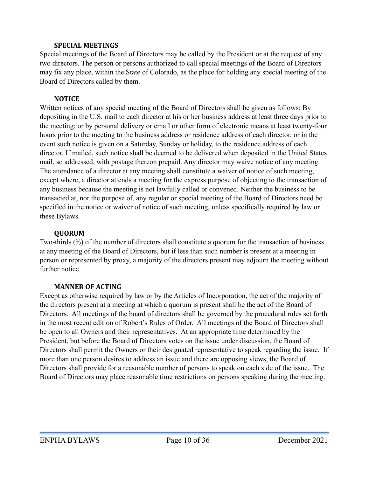## <span id="page-9-0"></span>**SPECIAL MEETINGS**

Special meetings of the Board of Directors may be called by the President or at the request of any two directors. The person or persons authorized to call special meetings of the Board of Directors may fix any place, within the State of Colorado, as the place for holding any special meeting of the Board of Directors called by them.

## <span id="page-9-1"></span>**NOTICE**

Written notices of any special meeting of the Board of Directors shall be given as follows: By depositing in the U.S. mail to each director at his or her business address at least three days prior to the meeting; or by personal delivery or email or other form of electronic means at least twenty-four hours prior to the meeting to the business address or residence address of each director, or in the event such notice is given on a Saturday, Sunday or holiday, to the residence address of each director. If mailed, such notice shall be deemed to be delivered when deposited in the United States mail, so addressed, with postage thereon prepaid. Any director may waive notice of any meeting. The attendance of a director at any meeting shall constitute a waiver of notice of such meeting, except where, a director attends a meeting for the express purpose of objecting to the transaction of any business because the meeting is not lawfully called or convened. Neither the business to be transacted at, nor the purpose of, any regular or special meeting of the Board of Directors need be specified in the notice or waiver of notice of such meeting, unless specifically required by law or these Bylaws.

## <span id="page-9-2"></span>**QUORUM**

Two-thirds (⅔) of the number of directors shall constitute a quorum for the transaction of business at any meeting of the Board of Directors, but if less than such number is present at a meeting in person or represented by proxy, a majority of the directors present may adjourn the meeting without further notice.

## <span id="page-9-3"></span>**MANNER OF ACTING**

Except as otherwise required by law or by the Articles of Incorporation, the act of the majority of the directors present at a meeting at which a quorum is present shall be the act of the Board of Directors. All meetings of the board of directors shall be governed by the procedural rules set forth in the most recent edition of Robert's Rules of Order. All meetings of the Board of Directors shall be open to all Owners and their representatives. At an appropriate time determined by the President, but before the Board of Directors votes on the issue under discussion, the Board of Directors shall permit the Owners or their designated representative to speak regarding the issue. If more than one person desires to address an issue and there are opposing views, the Board of Directors shall provide for a reasonable number of persons to speak on each side of the issue. The Board of Directors may place reasonable time restrictions on persons speaking during the meeting.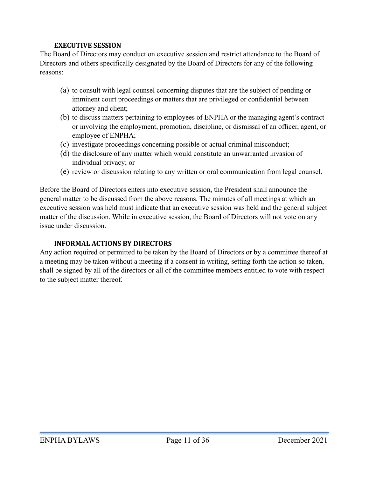## <span id="page-10-0"></span>**EXECUTIVE SESSION**

The Board of Directors may conduct on executive session and restrict attendance to the Board of Directors and others specifically designated by the Board of Directors for any of the following reasons:

- (a) to consult with legal counsel concerning disputes that are the subject of pending or imminent court proceedings or matters that are privileged or confidential between attorney and client;
- (b) to discuss matters pertaining to employees of ENPHA or the managing agent's contract or involving the employment, promotion, discipline, or dismissal of an officer, agent, or employee of ENPHA;
- (c) investigate proceedings concerning possible or actual criminal misconduct;
- (d) the disclosure of any matter which would constitute an unwarranted invasion of individual privacy; or
- (e) review or discussion relating to any written or oral communication from legal counsel.

Before the Board of Directors enters into executive session, the President shall announce the general matter to be discussed from the above reasons. The minutes of all meetings at which an executive session was held must indicate that an executive session was held and the general subject matter of the discussion. While in executive session, the Board of Directors will not vote on any issue under discussion.

## <span id="page-10-1"></span>**INFORMAL ACTIONS BY DIRECTORS**

Any action required or permitted to be taken by the Board of Directors or by a committee thereof at a meeting may be taken without a meeting if a consent in writing, setting forth the action so taken, shall be signed by all of the directors or all of the committee members entitled to vote with respect to the subject matter thereof.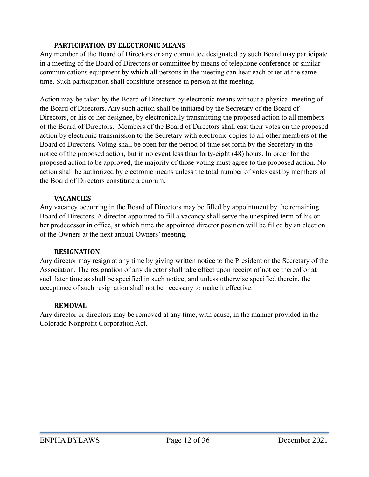## <span id="page-11-0"></span>**PARTICIPATION BY ELECTRONIC MEANS**

Any member of the Board of Directors or any committee designated by such Board may participate in a meeting of the Board of Directors or committee by means of telephone conference or similar communications equipment by which all persons in the meeting can hear each other at the same time. Such participation shall constitute presence in person at the meeting.

Action may be taken by the Board of Directors by electronic means without a physical meeting of the Board of Directors. Any such action shall be initiated by the Secretary of the Board of Directors, or his or her designee, by electronically transmitting the proposed action to all members of the Board of Directors. Members of the Board of Directors shall cast their votes on the proposed action by electronic transmission to the Secretary with electronic copies to all other members of the Board of Directors. Voting shall be open for the period of time set forth by the Secretary in the notice of the proposed action, but in no event less than forty-eight (48) hours. In order for the proposed action to be approved, the majority of those voting must agree to the proposed action. No action shall be authorized by electronic means unless the total number of votes cast by members of the Board of Directors constitute a quorum.

#### <span id="page-11-1"></span>**VACANCIES**

Any vacancy occurring in the Board of Directors may be filled by appointment by the remaining Board of Directors. A director appointed to fill a vacancy shall serve the unexpired term of his or her predecessor in office, at which time the appointed director position will be filled by an election of the Owners at the next annual Owners' meeting.

#### <span id="page-11-2"></span>**RESIGNATION**

Any director may resign at any time by giving written notice to the President or the Secretary of the Association. The resignation of any director shall take effect upon receipt of notice thereof or at such later time as shall be specified in such notice; and unless otherwise specified therein, the acceptance of such resignation shall not be necessary to make it effective.

#### <span id="page-11-3"></span>**REMOVAL**

Any director or directors may be removed at any time, with cause, in the manner provided in the Colorado Nonprofit Corporation Act.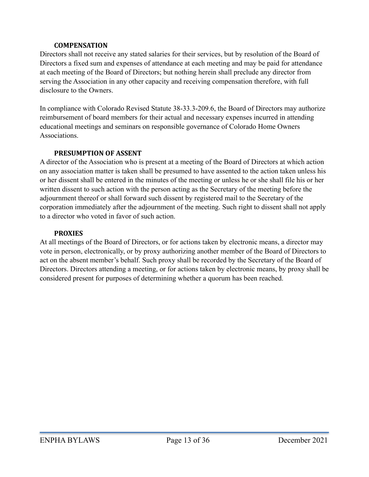### <span id="page-12-0"></span>**COMPENSATION**

Directors shall not receive any stated salaries for their services, but by resolution of the Board of Directors a fixed sum and expenses of attendance at each meeting and may be paid for attendance at each meeting of the Board of Directors; but nothing herein shall preclude any director from serving the Association in any other capacity and receiving compensation therefore, with full disclosure to the Owners.

In compliance with Colorado Revised Statute 38-33.3-209.6, the Board of Directors may authorize reimbursement of board members for their actual and necessary expenses incurred in attending educational meetings and seminars on responsible governance of Colorado Home Owners **Associations** 

## <span id="page-12-1"></span>**PRESUMPTION OF ASSENT**

A director of the Association who is present at a meeting of the Board of Directors at which action on any association matter is taken shall be presumed to have assented to the action taken unless his or her dissent shall be entered in the minutes of the meeting or unless he or she shall file his or her written dissent to such action with the person acting as the Secretary of the meeting before the adjournment thereof or shall forward such dissent by registered mail to the Secretary of the corporation immediately after the adjournment of the meeting. Such right to dissent shall not apply to a director who voted in favor of such action.

## <span id="page-12-2"></span>**PROXIES**

At all meetings of the Board of Directors, or for actions taken by electronic means, a director may vote in person, electronically, or by proxy authorizing another member of the Board of Directors to act on the absent member's behalf. Such proxy shall be recorded by the Secretary of the Board of Directors. Directors attending a meeting, or for actions taken by electronic means, by proxy shall be considered present for purposes of determining whether a quorum has been reached.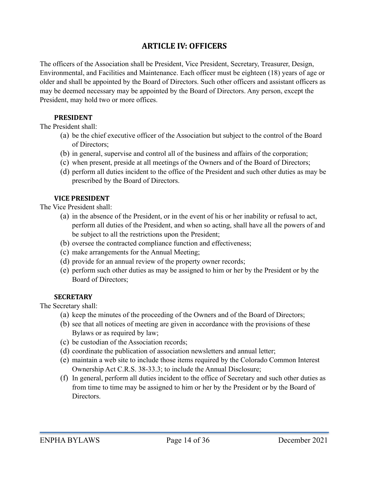# <span id="page-13-0"></span>**ARTICLE IV: OFFICERS**

The officers of the Association shall be President, Vice President, Secretary, Treasurer, Design, Environmental, and Facilities and Maintenance. Each officer must be eighteen (18) years of age or older and shall be appointed by the Board of Directors. Such other officers and assistant officers as may be deemed necessary may be appointed by the Board of Directors. Any person, except the President, may hold two or more offices.

## <span id="page-13-1"></span>**PRESIDENT**

The President shall:

- (a) be the chief executive officer of the Association but subject to the control of the Board of Directors;
- (b) in general, supervise and control all of the business and affairs of the corporation;
- (c) when present, preside at all meetings of the Owners and of the Board of Directors;
- (d) perform all duties incident to the office of the President and such other duties as may be prescribed by the Board of Directors.

## <span id="page-13-2"></span>**VICE PRESIDENT**

The Vice President shall:

- (a) in the absence of the President, or in the event of his or her inability or refusal to act, perform all duties of the President, and when so acting, shall have all the powers of and be subject to all the restrictions upon the President;
- (b) oversee the contracted compliance function and effectiveness;
- (c) make arrangements for the Annual Meeting;
- (d) provide for an annual review of the property owner records;
- (e) perform such other duties as may be assigned to him or her by the President or by the Board of Directors;

#### <span id="page-13-3"></span>**SECRETARY**

The Secretary shall:

- (a) keep the minutes of the proceeding of the Owners and of the Board of Directors;
- (b) see that all notices of meeting are given in accordance with the provisions of these Bylaws or as required by law;
- (c) be custodian of the Association records;
- (d) coordinate the publication of association newsletters and annual letter;
- (e) maintain a web site to include those items required by the Colorado Common Interest Ownership Act C.R.S. 38-33.3; to include the Annual Disclosure;
- (f) In general, perform all duties incident to the office of Secretary and such other duties as from time to time may be assigned to him or her by the President or by the Board of Directors.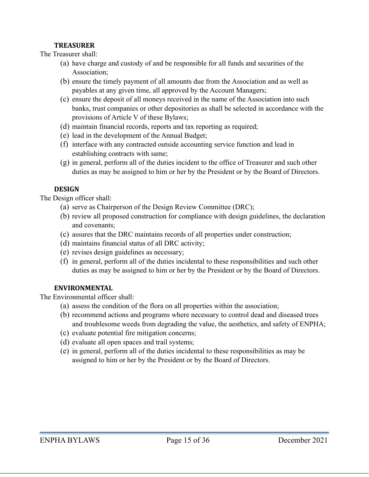## <span id="page-14-0"></span>**TREASURER**

The Treasurer shall:

- (a) have charge and custody of and be responsible for all funds and securities of the Association;
- (b) ensure the timely payment of all amounts due from the Association and as well as payables at any given time, all approved by the Account Managers;
- (c) ensure the deposit of all moneys received in the name of the Association into such banks, trust companies or other depositories as shall be selected in accordance with the provisions of Article V of these Bylaws;
- (d) maintain financial records, reports and tax reporting as required;
- (e) lead in the development of the Annual Budget;
- (f) interface with any contracted outside accounting service function and lead in establishing contracts with same;
- (g) in general, perform all of the duties incident to the office of Treasurer and such other duties as may be assigned to him or her by the President or by the Board of Directors.

## <span id="page-14-1"></span>**DESIGN**

The Design officer shall:

- (a) serve as Chairperson of the Design Review Committee (DRC);
- (b) review all proposed construction for compliance with design guidelines, the declaration and covenants;
- (c) assures that the DRC maintains records of all properties under construction;
- (d) maintains financial status of all DRC activity;
- (e) revises design guidelines as necessary;
- (f) in general, perform all of the duties incidental to these responsibilities and such other duties as may be assigned to him or her by the President or by the Board of Directors.

## <span id="page-14-2"></span>**ENVIRONMENTAL**

The Environmental officer shall:

- (a) assess the condition of the flora on all properties within the association;
- (b) recommend actions and programs where necessary to control dead and diseased trees and troublesome weeds from degrading the value, the aesthetics, and safety of ENPHA;
- (c) evaluate potential fire mitigation concerns;
- (d) evaluate all open spaces and trail systems;
- (e) in general, perform all of the duties incidental to these responsibilities as may be assigned to him or her by the President or by the Board of Directors.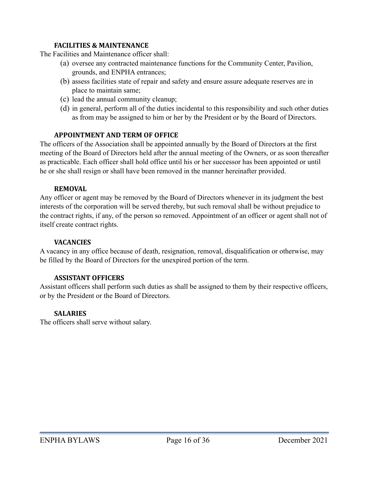## <span id="page-15-0"></span>**FACILITIES & MAINTENANCE**

The Facilities and Maintenance officer shall:

- (a) oversee any contracted maintenance functions for the Community Center, Pavilion, grounds, and ENPHA entrances;
- (b) assess facilities state of repair and safety and ensure assure adequate reserves are in place to maintain same;
- (c) lead the annual community cleanup;
- (d) in general, perform all of the duties incidental to this responsibility and such other duties as from may be assigned to him or her by the President or by the Board of Directors.

## <span id="page-15-1"></span>**APPOINTMENT AND TERM OF OFFICE**

The officers of the Association shall be appointed annually by the Board of Directors at the first meeting of the Board of Directors held after the annual meeting of the Owners, or as soon thereafter as practicable. Each officer shall hold office until his or her successor has been appointed or until he or she shall resign or shall have been removed in the manner hereinafter provided.

## <span id="page-15-2"></span>**REMOVAL**

Any officer or agent may be removed by the Board of Directors whenever in its judgment the best interests of the corporation will be served thereby, but such removal shall be without prejudice to the contract rights, if any, of the person so removed. Appointment of an officer or agent shall not of itself create contract rights.

### <span id="page-15-3"></span>**VACANCIES**

A vacancy in any office because of death, resignation, removal, disqualification or otherwise, may be filled by the Board of Directors for the unexpired portion of the term.

## <span id="page-15-4"></span>**ASSISTANT OFFICERS**

Assistant officers shall perform such duties as shall be assigned to them by their respective officers, or by the President or the Board of Directors.

## <span id="page-15-5"></span>**SALARIES**

The officers shall serve without salary.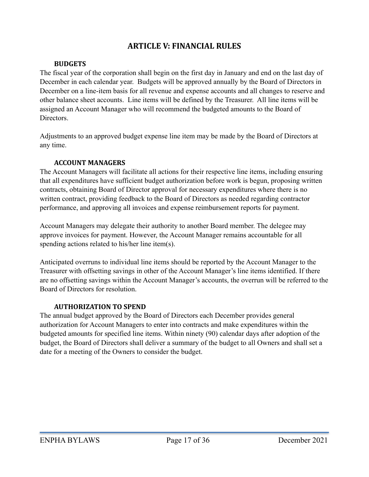## <span id="page-16-0"></span>**ARTICLE V: FINANCIAL RULES**

## <span id="page-16-1"></span>**BUDGETS**

The fiscal year of the corporation shall begin on the first day in January and end on the last day of December in each calendar year. Budgets will be approved annually by the Board of Directors in December on a line-item basis for all revenue and expense accounts and all changes to reserve and other balance sheet accounts. Line items will be defined by the Treasurer. All line items will be assigned an Account Manager who will recommend the budgeted amounts to the Board of Directors.

Adjustments to an approved budget expense line item may be made by the Board of Directors at any time.

## <span id="page-16-2"></span>**ACCOUNT MANAGERS**

The Account Managers will facilitate all actions for their respective line items, including ensuring that all expenditures have sufficient budget authorization before work is begun, proposing written contracts, obtaining Board of Director approval for necessary expenditures where there is no written contract, providing feedback to the Board of Directors as needed regarding contractor performance, and approving all invoices and expense reimbursement reports for payment.

Account Managers may delegate their authority to another Board member. The delegee may approve invoices for payment. However, the Account Manager remains accountable for all spending actions related to his/her line item(s).

Anticipated overruns to individual line items should be reported by the Account Manager to the Treasurer with offsetting savings in other of the Account Manager's line items identified. If there are no offsetting savings within the Account Manager's accounts, the overrun will be referred to the Board of Directors for resolution.

## <span id="page-16-3"></span>**AUTHORIZATION TO SPEND**

The annual budget approved by the Board of Directors each December provides general authorization for Account Managers to enter into contracts and make expenditures within the budgeted amounts for specified line items. Within ninety (90) calendar days after adoption of the budget, the Board of Directors shall deliver a summary of the budget to all Owners and shall set a date for a meeting of the Owners to consider the budget.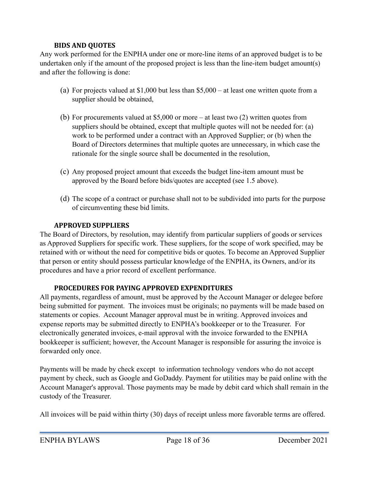## <span id="page-17-0"></span>**BIDS AND QUOTES**

Any work performed for the ENPHA under one or more-line items of an approved budget is to be undertaken only if the amount of the proposed project is less than the line-item budget amount(s) and after the following is done:

- (a) For projects valued at \$1,000 but less than \$5,000 at least one written quote from a supplier should be obtained,
- (b) For procurements valued at \$5,000 or more at least two (2) written quotes from suppliers should be obtained, except that multiple quotes will not be needed for: (a) work to be performed under a contract with an Approved Supplier; or (b) when the Board of Directors determines that multiple quotes are unnecessary, in which case the rationale for the single source shall be documented in the resolution,
- (c) Any proposed project amount that exceeds the budget line-item amount must be approved by the Board before bids/quotes are accepted (see 1.5 above).
- (d) The scope of a contract or purchase shall not to be subdivided into parts for the purpose of circumventing these bid limits.

## <span id="page-17-1"></span>**APPROVED SUPPLIERS**

The Board of Directors, by resolution, may identify from particular suppliers of goods or services as Approved Suppliers for specific work. These suppliers, for the scope of work specified, may be retained with or without the need for competitive bids or quotes. To become an Approved Supplier that person or entity should possess particular knowledge of the ENPHA, its Owners, and/or its procedures and have a prior record of excellent performance.

## <span id="page-17-2"></span>**PROCEDURES FOR PAYING APPROVED EXPENDITURES**

All payments, regardless of amount, must be approved by the Account Manager or delegee before being submitted for payment. The invoices must be originals; no payments will be made based on statements or copies. Account Manager approval must be in writing. Approved invoices and expense reports may be submitted directly to ENPHA's bookkeeper or to the Treasurer. For electronically generated invoices, e-mail approval with the invoice forwarded to the ENPHA bookkeeper is sufficient; however, the Account Manager is responsible for assuring the invoice is forwarded only once.

Payments will be made by check except to information technology vendors who do not accept payment by check, such as Google and GoDaddy. Payment for utilities may be paid online with the Account Manager's approval. Those payments may be made by debit card which shall remain in the custody of the Treasurer.

All invoices will be paid within thirty (30) days of receipt unless more favorable terms are offered.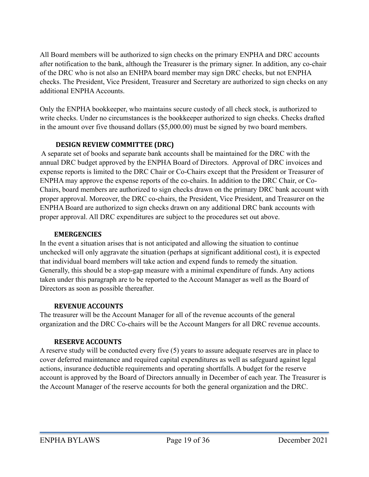All Board members will be authorized to sign checks on the primary ENPHA and DRC accounts after notification to the bank, although the Treasurer is the primary signer. In addition, any co-chair of the DRC who is not also an ENHPA board member may sign DRC checks, but not ENPHA checks. The President, Vice President, Treasurer and Secretary are authorized to sign checks on any additional ENPHA Accounts.

Only the ENPHA bookkeeper, who maintains secure custody of all check stock, is authorized to write checks. Under no circumstances is the bookkeeper authorized to sign checks. Checks drafted in the amount over five thousand dollars (\$5,000.00) must be signed by two board members.

## <span id="page-18-0"></span>**DESIGN REVIEW COMMITTEE (DRC)**

 A separate set of books and separate bank accounts shall be maintained for the DRC with the annual DRC budget approved by the ENPHA Board of Directors. Approval of DRC invoices and expense reports is limited to the DRC Chair or Co-Chairs except that the President or Treasurer of ENPHA may approve the expense reports of the co-chairs. In addition to the DRC Chair, or Co-Chairs, board members are authorized to sign checks drawn on the primary DRC bank account with proper approval. Moreover, the DRC co-chairs, the President, Vice President, and Treasurer on the ENPHA Board are authorized to sign checks drawn on any additional DRC bank accounts with proper approval. All DRC expenditures are subject to the procedures set out above.

## <span id="page-18-1"></span>**EMERGENCIES**

In the event a situation arises that is not anticipated and allowing the situation to continue unchecked will only aggravate the situation (perhaps at significant additional cost), it is expected that individual board members will take action and expend funds to remedy the situation. Generally, this should be a stop-gap measure with a minimal expenditure of funds. Any actions taken under this paragraph are to be reported to the Account Manager as well as the Board of Directors as soon as possible thereafter.

## <span id="page-18-2"></span>**REVENUE ACCOUNTS**

The treasurer will be the Account Manager for all of the revenue accounts of the general organization and the DRC Co-chairs will be the Account Mangers for all DRC revenue accounts.

## <span id="page-18-3"></span>**RESERVE ACCOUNTS**

A reserve study will be conducted every five (5) years to assure adequate reserves are in place to cover deferred maintenance and required capital expenditures as well as safeguard against legal actions, insurance deductible requirements and operating shortfalls. A budget for the reserve account is approved by the Board of Directors annually in December of each year. The Treasurer is the Account Manager of the reserve accounts for both the general organization and the DRC.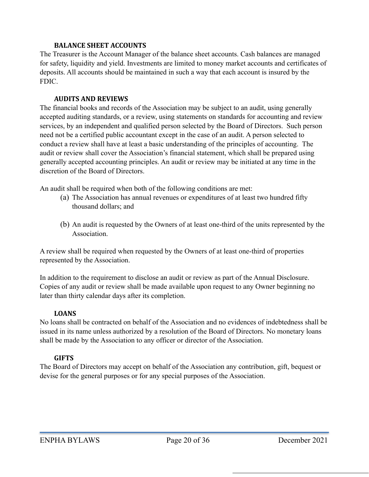## <span id="page-19-0"></span>**BALANCE SHEET ACCOUNTS**

The Treasurer is the Account Manager of the balance sheet accounts. Cash balances are managed for safety, liquidity and yield. Investments are limited to money market accounts and certificates of deposits. All accounts should be maintained in such a way that each account is insured by the FDIC.

## <span id="page-19-1"></span>**AUDITS AND REVIEWS**

The financial books and records of the Association may be subject to an audit, using generally accepted auditing standards, or a review, using statements on standards for accounting and review services, by an independent and qualified person selected by the Board of Directors. Such person need not be a certified public accountant except in the case of an audit. A person selected to conduct a review shall have at least a basic understanding of the principles of accounting. The audit or review shall cover the Association's financial statement, which shall be prepared using generally accepted accounting principles. An audit or review may be initiated at any time in the discretion of the Board of Directors.

An audit shall be required when both of the following conditions are met:

- (a) The Association has annual revenues or expenditures of at least two hundred fifty thousand dollars; and
- (b) An audit is requested by the Owners of at least one-third of the units represented by the Association.

A review shall be required when requested by the Owners of at least one-third of properties represented by the Association.

In addition to the requirement to disclose an audit or review as part of the Annual Disclosure. Copies of any audit or review shall be made available upon request to any Owner beginning no later than thirty calendar days after its completion.

## <span id="page-19-2"></span>**LOANS**

No loans shall be contracted on behalf of the Association and no evidences of indebtedness shall be issued in its name unless authorized by a resolution of the Board of Directors. No monetary loans shall be made by the Association to any officer or director of the Association.

## <span id="page-19-3"></span>**GIFTS**

The Board of Directors may accept on behalf of the Association any contribution, gift, bequest or devise for the general purposes or for any special purposes of the Association.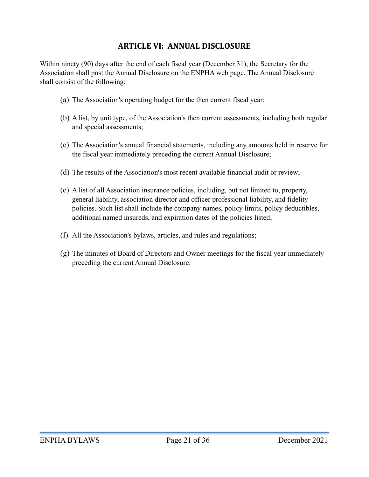# <span id="page-20-0"></span>**ARTICLE VI: ANNUAL DISCLOSURE**

Within ninety (90) days after the end of each fiscal year (December 31), the Secretary for the Association shall post the Annual Disclosure on the ENPHA web page. The Annual Disclosure shall consist of the following:

- (a) The Association's operating budget for the then current fiscal year;
- (b) A list, by unit type, of the Association's then current assessments, including both regular and special assessments;
- (c) The Association's annual financial statements, including any amounts held in reserve for the fiscal year immediately preceding the current Annual Disclosure;
- (d) The results of the Association's most recent available financial audit or review;
- (e) A list of all Association insurance policies, including, but not limited to, property, general liability, association director and officer professional liability, and fidelity policies. Such list shall include the company names, policy limits, policy deductibles, additional named insureds, and expiration dates of the policies listed;
- (f) All the Association's bylaws, articles, and rules and regulations;
- (g) The minutes of Board of Directors and Owner meetings for the fiscal year immediately preceding the current Annual Disclosure.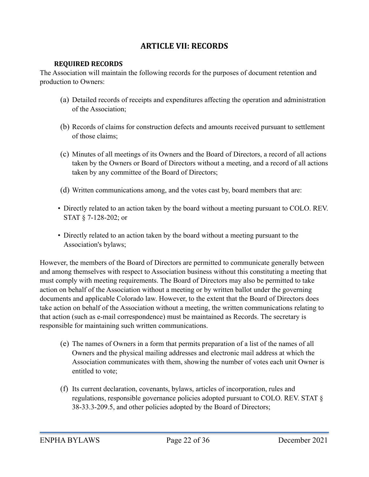# <span id="page-21-0"></span>**ARTICLE VII: RECORDS**

## <span id="page-21-1"></span>**REQUIRED RECORDS**

The Association will maintain the following records for the purposes of document retention and production to Owners:

- (a) Detailed records of receipts and expenditures affecting the operation and administration of the Association;
- (b) Records of claims for construction defects and amounts received pursuant to settlement of those claims;
- (c) Minutes of all meetings of its Owners and the Board of Directors, a record of all actions taken by the Owners or Board of Directors without a meeting, and a record of all actions taken by any committee of the Board of Directors;
- (d) Written communications among, and the votes cast by, board members that are:
- Directly related to an action taken by the board without a meeting pursuant to COLO. REV. STAT § 7-128-202; or
- Directly related to an action taken by the board without a meeting pursuant to the Association's bylaws;

However, the members of the Board of Directors are permitted to communicate generally between and among themselves with respect to Association business without this constituting a meeting that must comply with meeting requirements. The Board of Directors may also be permitted to take action on behalf of the Association without a meeting or by written ballot under the governing documents and applicable Colorado law. However, to the extent that the Board of Directors does take action on behalf of the Association without a meeting, the written communications relating to that action (such as e-mail correspondence) must be maintained as Records. The secretary is responsible for maintaining such written communications.

- (e) The names of Owners in a form that permits preparation of a list of the names of all Owners and the physical mailing addresses and electronic mail address at which the Association communicates with them, showing the number of votes each unit Owner is entitled to vote;
- (f) Its current declaration, covenants, bylaws, articles of incorporation, rules and regulations, responsible governance policies adopted pursuant to COLO. REV. STAT § 38-33.3-209.5, and other policies adopted by the Board of Directors;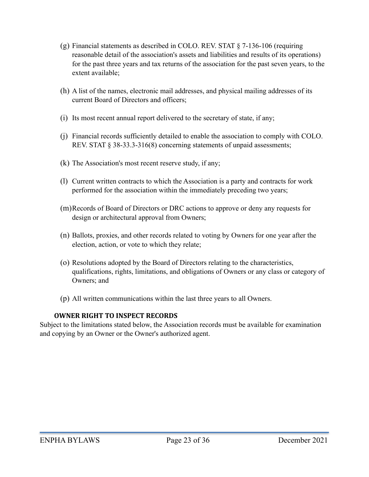- (g) Financial statements as described in COLO. REV. STAT § 7-136-106 (requiring reasonable detail of the association's assets and liabilities and results of its operations) for the past three years and tax returns of the association for the past seven years, to the extent available;
- (h) A list of the names, electronic mail addresses, and physical mailing addresses of its current Board of Directors and officers;
- (i) Its most recent annual report delivered to the secretary of state, if any;
- (j) Financial records sufficiently detailed to enable the association to comply with COLO. REV. STAT § 38-33.3-316(8) concerning statements of unpaid assessments;
- (k) The Association's most recent reserve study, if any;
- (l) Current written contracts to which the Association is a party and contracts for work performed for the association within the immediately preceding two years;
- (m)Records of Board of Directors or DRC actions to approve or deny any requests for design or architectural approval from Owners;
- (n) Ballots, proxies, and other records related to voting by Owners for one year after the election, action, or vote to which they relate;
- (o) Resolutions adopted by the Board of Directors relating to the characteristics, qualifications, rights, limitations, and obligations of Owners or any class or category of Owners; and
- (p) All written communications within the last three years to all Owners.

## <span id="page-22-0"></span>**OWNER RIGHT TO INSPECT RECORDS**

Subject to the limitations stated below, the Association records must be available for examination and copying by an Owner or the Owner's authorized agent.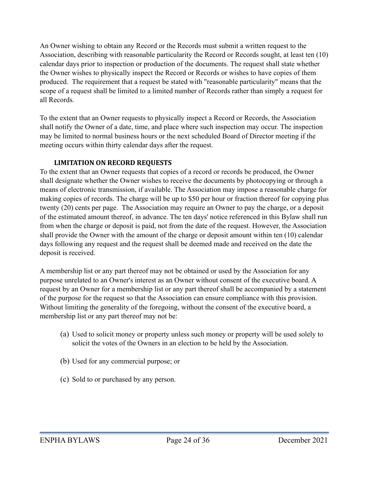An Owner wishing to obtain any Record or the Records must submit a written request to the Association, describing with reasonable particularity the Record or Records sought, at least ten (10) calendar days prior to inspection or production of the documents. The request shall state whether the Owner wishes to physically inspect the Record or Records or wishes to have copies of them produced. The requirement that a request be stated with "reasonable particularity" means that the scope of a request shall be limited to a limited number of Records rather than simply a request for all Records.

To the extent that an Owner requests to physically inspect a Record or Records, the Association shall notify the Owner of a date, time, and place where such inspection may occur. The inspection may be limited to normal business hours or the next scheduled Board of Director meeting if the meeting occurs within thirty calendar days after the request.

## <span id="page-23-0"></span>**LIMITATION ON RECORD REQUESTS**

To the extent that an Owner requests that copies of a record or records be produced, the Owner shall designate whether the Owner wishes to receive the documents by photocopying or through a means of electronic transmission, if available. The Association may impose a reasonable charge for making copies of records. The charge will be up to \$50 per hour or fraction thereof for copying plus twenty (20) cents per page. The Association may require an Owner to pay the charge, or a deposit of the estimated amount thereof, in advance. The ten days' notice referenced in this Bylaw shall run from when the charge or deposit is paid, not from the date of the request. However, the Association shall provide the Owner with the amount of the charge or deposit amount within ten (10) calendar days following any request and the request shall be deemed made and received on the date the deposit is received.

A membership list or any part thereof may not be obtained or used by the Association for any purpose unrelated to an Owner's interest as an Owner without consent of the executive board. A request by an Owner for a membership list or any part thereof shall be accompanied by a statement of the purpose for the request so that the Association can ensure compliance with this provision. Without limiting the generality of the foregoing, without the consent of the executive board, a membership list or any part thereof may not be:

- (a) Used to solicit money or property unless such money or property will be used solely to solicit the votes of the Owners in an election to be held by the Association.
- (b) Used for any commercial purpose; or
- (c) Sold to or purchased by any person.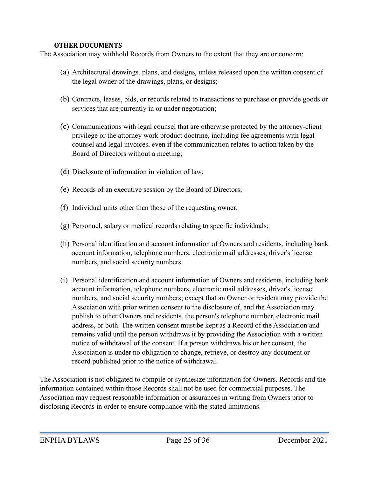## <span id="page-24-0"></span>**OTHER DOCUMENTS**

The Association may withhold Records from Owners to the extent that they are or concern:

- (a) Architectural drawings, plans, and designs, unless released upon the written consent of the legal owner of the drawings, plans, or designs;
- (b) Contracts, leases, bids, or records related to transactions to purchase or provide goods or services that are currently in or under negotiation;
- (c) Communications with legal counsel that are otherwise protected by the attorney-client privilege or the attorney work product doctrine, including fee agreements with legal counsel and legal invoices, even if the communication relates to action taken by the Board of Directors without a meeting;
- (d) Disclosure of information in violation of law;
- (e) Records of an executive session by the Board of Directors;
- (f) Individual units other than those of the requesting owner;
- (g) Personnel, salary or medical records relating to specific individuals;
- (h) Personal identification and account information of Owners and residents, including bank account information, telephone numbers, electronic mail addresses, driver's license numbers, and social security numbers.
- (i) Personal identification and account information of Owners and residents, including bank account information, telephone numbers, electronic mail addresses, driver's license numbers, and social security numbers; except that an Owner or resident may provide the Association with prior written consent to the disclosure of, and the Association may publish to other Owners and residents, the person's telephone number, electronic mail address, or both. The written consent must be kept as a Record of the Association and remains valid until the person withdraws it by providing the Association with a written notice of withdrawal of the consent. If a person withdraws his or her consent, the Association is under no obligation to change, retrieve, or destroy any document or record published prior to the notice of withdrawal.

The Association is not obligated to compile or synthesize information for Owners. Records and the information contained within those Records shall not be used for commercial purposes. The Association may request reasonable information or assurances in writing from Owners prior to disclosing Records in order to ensure compliance with the stated limitations.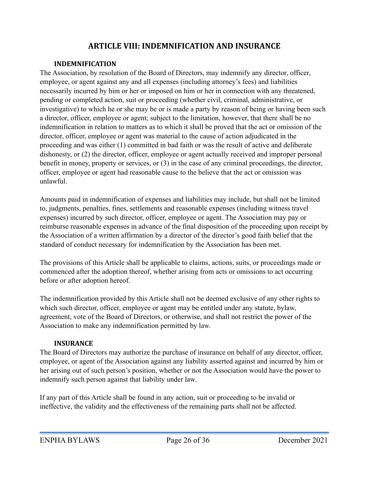# <span id="page-25-0"></span>**ARTICLE VIII: INDEMNIFICATION AND INSURANCE**

## <span id="page-25-1"></span>**INDEMNIFICATION**

The Association, by resolution of the Board of Directors, may indemnify any director, officer, employee, or agent against any and all expenses (including attorney's fees) and liabilities necessarily incurred by him or her or imposed on him or her in connection with any threatened, pending or completed action, suit or proceeding (whether civil, criminal, administrative, or investigative) to which he or she may be or is made a party by reason of being or having been such a director, officer, employee or agent; subject to the limitation, however, that there shall be no indemnification in relation to matters as to which it shall be proved that the act or omission of the director, officer, employee or agent was material to the cause of action adjudicated in the proceeding and was either (1) committed in bad faith or was the result of active and deliberate dishonesty, or (2) the director, officer, employee or agent actually received and improper personal benefit in money, property or services, or (3) in the case of any criminal proceedings, the director, officer, employee or agent had reasonable cause to the believe that the act or omission was unlawful.

Amounts paid in indemnification of expenses and liabilities may include, but shall not be limited to, judgments, penalties, fines, settlements and reasonable expenses (including witness travel expenses) incurred by such director, officer, employee or agent. The Association may pay or reimburse reasonable expenses in advance of the final disposition of the proceeding upon receipt by the Association of a written affirmation by a director of the director's good faith belief that the standard of conduct necessary for indemnification by the Association has been met.

The provisions of this Article shall be applicable to claims, actions, suits, or proceedings made or commenced after the adoption thereof, whether arising from acts or omissions to act occurring before or after adoption hereof.

The indemnification provided by this Article shall not be deemed exclusive of any other rights to which such director, officer, employee or agent may be entitled under any statute, bylaw, agreement, vote of the Board of Directors, or otherwise, and shall not restrict the power of the Association to make any indemnification permitted by law.

## <span id="page-25-2"></span>**INSURANCE**

The Board of Directors may authorize the purchase of insurance on behalf of any director, officer, employee, or agent of the Association against any liability asserted against and incurred by him or her arising out of such person's position, whether or not the Association would have the power to indemnify such person against that liability under law.

If any part of this Article shall be found in any action, suit or proceeding to be invalid or ineffective, the validity and the effectiveness of the remaining parts shall not be affected.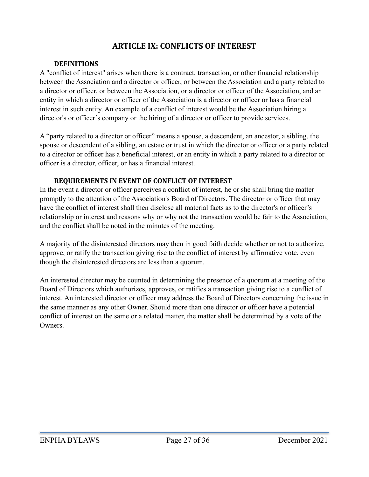# <span id="page-26-0"></span>**ARTICLE IX: CONFLICTS OF INTEREST**

## <span id="page-26-1"></span>**DEFINITIONS**

A "conflict of interest" arises when there is a contract, transaction, or other financial relationship between the Association and a director or officer, or between the Association and a party related to a director or officer, or between the Association, or a director or officer of the Association, and an entity in which a director or officer of the Association is a director or officer or has a financial interest in such entity. An example of a conflict of interest would be the Association hiring a director's or officer's company or the hiring of a director or officer to provide services.

A "party related to a director or officer" means a spouse, a descendent, an ancestor, a sibling, the spouse or descendent of a sibling, an estate or trust in which the director or officer or a party related to a director or officer has a beneficial interest, or an entity in which a party related to a director or officer is a director, officer, or has a financial interest.

## <span id="page-26-2"></span>**REQUIREMENTS IN EVENT OF CONFLICT OF INTEREST**

In the event a director or officer perceives a conflict of interest, he or she shall bring the matter promptly to the attention of the Association's Board of Directors. The director or officer that may have the conflict of interest shall then disclose all material facts as to the director's or officer's relationship or interest and reasons why or why not the transaction would be fair to the Association, and the conflict shall be noted in the minutes of the meeting.

A majority of the disinterested directors may then in good faith decide whether or not to authorize, approve, or ratify the transaction giving rise to the conflict of interest by affirmative vote, even though the disinterested directors are less than a quorum.

An interested director may be counted in determining the presence of a quorum at a meeting of the Board of Directors which authorizes, approves, or ratifies a transaction giving rise to a conflict of interest. An interested director or officer may address the Board of Directors concerning the issue in the same manner as any other Owner. Should more than one director or officer have a potential conflict of interest on the same or a related matter, the matter shall be determined by a vote of the **Owners**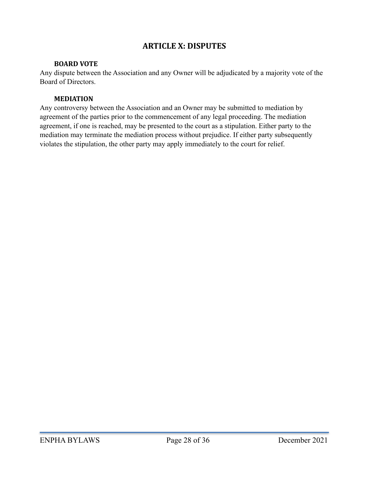# <span id="page-27-0"></span>**ARTICLE X: DISPUTES**

## <span id="page-27-1"></span>**BOARD VOTE**

Any dispute between the Association and any Owner will be adjudicated by a majority vote of the Board of Directors.

## <span id="page-27-2"></span>**MEDIATION**

Any controversy between the Association and an Owner may be submitted to mediation by agreement of the parties prior to the commencement of any legal proceeding. The mediation agreement, if one is reached, may be presented to the court as a stipulation. Either party to the mediation may terminate the mediation process without prejudice. If either party subsequently violates the stipulation, the other party may apply immediately to the court for relief.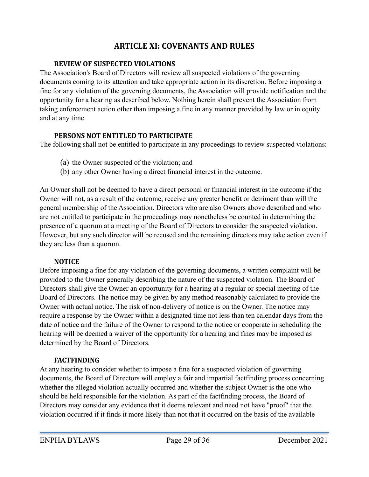# <span id="page-28-0"></span>**ARTICLE XI: COVENANTS AND RULES**

## <span id="page-28-1"></span>**REVIEW OF SUSPECTED VIOLATIONS**

The Association's Board of Directors will review all suspected violations of the governing documents coming to its attention and take appropriate action in its discretion. Before imposing a fine for any violation of the governing documents, the Association will provide notification and the opportunity for a hearing as described below. Nothing herein shall prevent the Association from taking enforcement action other than imposing a fine in any manner provided by law or in equity and at any time.

## <span id="page-28-2"></span>**PERSONS NOT ENTITLED TO PARTICIPATE**

The following shall not be entitled to participate in any proceedings to review suspected violations:

- (a) the Owner suspected of the violation; and
- (b) any other Owner having a direct financial interest in the outcome.

An Owner shall not be deemed to have a direct personal or financial interest in the outcome if the Owner will not, as a result of the outcome, receive any greater benefit or detriment than will the general membership of the Association. Directors who are also Owners above described and who are not entitled to participate in the proceedings may nonetheless be counted in determining the presence of a quorum at a meeting of the Board of Directors to consider the suspected violation. However, but any such director will be recused and the remaining directors may take action even if they are less than a quorum.

## <span id="page-28-3"></span>**NOTICE**

Before imposing a fine for any violation of the governing documents, a written complaint will be provided to the Owner generally describing the nature of the suspected violation. The Board of Directors shall give the Owner an opportunity for a hearing at a regular or special meeting of the Board of Directors. The notice may be given by any method reasonably calculated to provide the Owner with actual notice. The risk of non-delivery of notice is on the Owner. The notice may require a response by the Owner within a designated time not less than ten calendar days from the date of notice and the failure of the Owner to respond to the notice or cooperate in scheduling the hearing will be deemed a waiver of the opportunity for a hearing and fines may be imposed as determined by the Board of Directors.

## <span id="page-28-4"></span>**FACTFINDING**

At any hearing to consider whether to impose a fine for a suspected violation of governing documents, the Board of Directors will employ a fair and impartial factfinding process concerning whether the alleged violation actually occurred and whether the subject Owner is the one who should be held responsible for the violation. As part of the factfinding process, the Board of Directors may consider any evidence that it deems relevant and need not have "proof" that the violation occurred if it finds it more likely than not that it occurred on the basis of the available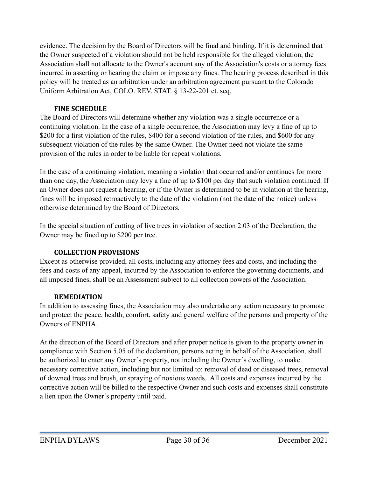evidence. The decision by the Board of Directors will be final and binding. If it is determined that the Owner suspected of a violation should not be held responsible for the alleged violation, the Association shall not allocate to the Owner's account any of the Association's costs or attorney fees incurred in asserting or hearing the claim or impose any fines. The hearing process described in this policy will be treated as an arbitration under an arbitration agreement pursuant to the Colorado Uniform Arbitration Act, COLO. REV. STAT. § 13-22-201 et. seq.

## <span id="page-29-0"></span>**FINE SCHEDULE**

The Board of Directors will determine whether any violation was a single occurrence or a continuing violation. In the case of a single occurrence, the Association may levy a fine of up to \$200 for a first violation of the rules, \$400 for a second violation of the rules, and \$600 for any subsequent violation of the rules by the same Owner. The Owner need not violate the same provision of the rules in order to be liable for repeat violations.

In the case of a continuing violation, meaning a violation that occurred and/or continues for more than one day, the Association may levy a fine of up to \$100 per day that such violation continued. If an Owner does not request a hearing, or if the Owner is determined to be in violation at the hearing, fines will be imposed retroactively to the date of the violation (not the date of the notice) unless otherwise determined by the Board of Directors.

In the special situation of cutting of live trees in violation of section 2.03 of the Declaration, the Owner may be fined up to \$200 per tree.

## <span id="page-29-1"></span>**COLLECTION PROVISIONS**

Except as otherwise provided, all costs, including any attorney fees and costs, and including the fees and costs of any appeal, incurred by the Association to enforce the governing documents, and all imposed fines, shall be an Assessment subject to all collection powers of the Association.

## <span id="page-29-2"></span>**REMEDIATION**

In addition to assessing fines, the Association may also undertake any action necessary to promote and protect the peace, health, comfort, safety and general welfare of the persons and property of the Owners of ENPHA.

At the direction of the Board of Directors and after proper notice is given to the property owner in compliance with Section 5.05 of the declaration, persons acting in behalf of the Association, shall be authorized to enter any Owner's property, not including the Owner's dwelling, to make necessary corrective action, including but not limited to: removal of dead or diseased trees, removal of downed trees and brush, or spraying of noxious weeds. All costs and expenses incurred by the corrective action will be billed to the respective Owner and such costs and expenses shall constitute a lien upon the Owner's property until paid.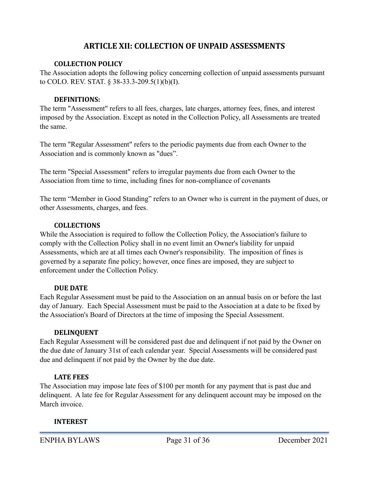## <span id="page-30-0"></span>**ARTICLE XII: COLLECTION OF UNPAID ASSESSMENTS**

#### <span id="page-30-1"></span>**COLLECTION POLICY**

The Association adopts the following policy concerning collection of unpaid assessments pursuant to COLO. REV. STAT. § 38-33.3-209.5(1)(b)(I).

### <span id="page-30-2"></span>**DEFINITIONS:**

The term "Assessment" refers to all fees, charges, late charges, attorney fees, fines, and interest imposed by the Association. Except as noted in the Collection Policy, all Assessments are treated the same.

The term "Regular Assessment" refers to the periodic payments due from each Owner to the Association and is commonly known as "dues".

The term "Special Assessment" refers to irregular payments due from each Owner to the Association from time to time, including fines for non-compliance of covenants

The term "Member in Good Standing" refers to an Owner who is current in the payment of dues, or other Assessments, charges, and fees.

## <span id="page-30-3"></span>**COLLECTIONS**

While the Association is required to follow the Collection Policy, the Association's failure to comply with the Collection Policy shall in no event limit an Owner's liability for unpaid Assessments, which are at all times each Owner's responsibility. The imposition of fines is governed by a separate fine policy; however, once fines are imposed, they are subject to enforcement under the Collection Policy.

## <span id="page-30-4"></span>**DUE DATE**

Each Regular Assessment must be paid to the Association on an annual basis on or before the last day of January. Each Special Assessment must be paid to the Association at a date to be fixed by the Association's Board of Directors at the time of imposing the Special Assessment.

#### <span id="page-30-5"></span>**DELINQUENT**

Each Regular Assessment will be considered past due and delinquent if not paid by the Owner on the due date of January 31st of each calendar year. Special Assessments will be considered past due and delinquent if not paid by the Owner by the due date.

#### <span id="page-30-6"></span>**LATE FEES**

The Association may impose late fees of \$100 per month for any payment that is past due and delinquent. A late fee for Regular Assessment for any delinquent account may be imposed on the March invoice.

#### <span id="page-30-7"></span>**INTEREST**

ENPHA BYLAWS Page 31 of 36 December 2021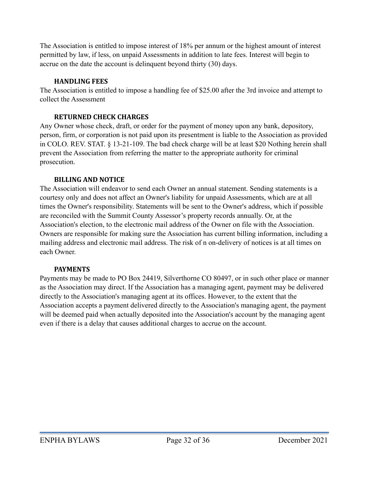The Association is entitled to impose interest of 18% per annum or the highest amount of interest permitted by law, if less, on unpaid Assessments in addition to late fees. Interest will begin to accrue on the date the account is delinquent beyond thirty (30) days.

## <span id="page-31-0"></span>**HANDLING FEES**

The Association is entitled to impose a handling fee of \$25.00 after the 3rd invoice and attempt to collect the Assessment

## <span id="page-31-1"></span>**RETURNED CHECK CHARGES**

Any Owner whose check, draft, or order for the payment of money upon any bank, depository, person, firm, or corporation is not paid upon its presentment is liable to the Association as provided in COLO. REV. STAT. § 13-21-109. The bad check charge will be at least \$20 Nothing herein shall prevent the Association from referring the matter to the appropriate authority for criminal prosecution.

## <span id="page-31-2"></span>**BILLING AND NOTICE**

The Association will endeavor to send each Owner an annual statement. Sending statements is a courtesy only and does not affect an Owner's liability for unpaid Assessments, which are at all times the Owner's responsibility. Statements will be sent to the Owner's address, which if possible are reconciled with the Summit County Assessor's property records annually. Or, at the Association's election, to the electronic mail address of the Owner on file with the Association. Owners are responsible for making sure the Association has current billing information, including a mailing address and electronic mail address. The risk of n on-delivery of notices is at all times on each Owner.

## <span id="page-31-3"></span>**PAYMENTS**

Payments may be made to PO Box 24419, Silverthorne CO 80497, or in such other place or manner as the Association may direct. If the Association has a managing agent, payment may be delivered directly to the Association's managing agent at its offices. However, to the extent that the Association accepts a payment delivered directly to the Association's managing agent, the payment will be deemed paid when actually deposited into the Association's account by the managing agent even if there is a delay that causes additional charges to accrue on the account.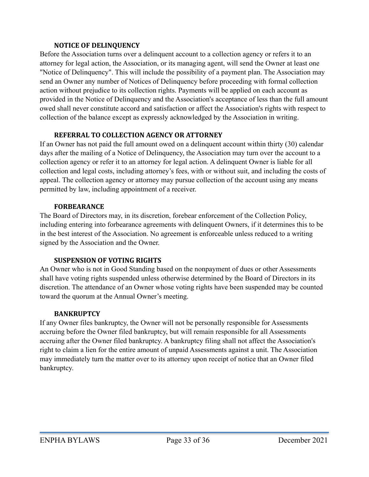### <span id="page-32-0"></span>**NOTICE OF DELINQUENCY**

Before the Association turns over a delinquent account to a collection agency or refers it to an attorney for legal action, the Association, or its managing agent, will send the Owner at least one "Notice of Delinquency". This will include the possibility of a payment plan. The Association may send an Owner any number of Notices of Delinquency before proceeding with formal collection action without prejudice to its collection rights. Payments will be applied on each account as provided in the Notice of Delinquency and the Association's acceptance of less than the full amount owed shall never constitute accord and satisfaction or affect the Association's rights with respect to collection of the balance except as expressly acknowledged by the Association in writing.

## <span id="page-32-1"></span>**REFERRAL TO COLLECTION AGENCY OR ATTORNEY**

If an Owner has not paid the full amount owed on a delinquent account within thirty (30) calendar days after the mailing of a Notice of Delinquency, the Association may turn over the account to a collection agency or refer it to an attorney for legal action. A delinquent Owner is liable for all collection and legal costs, including attorney's fees, with or without suit, and including the costs of appeal. The collection agency or attorney may pursue collection of the account using any means permitted by law, including appointment of a receiver.

## <span id="page-32-2"></span>**FORBEARANCE**

The Board of Directors may, in its discretion, forebear enforcement of the Collection Policy, including entering into forbearance agreements with delinquent Owners, if it determines this to be in the best interest of the Association. No agreement is enforceable unless reduced to a writing signed by the Association and the Owner.

## <span id="page-32-3"></span>**SUSPENSION OF VOTING RIGHTS**

An Owner who is not in Good Standing based on the nonpayment of dues or other Assessments shall have voting rights suspended unless otherwise determined by the Board of Directors in its discretion. The attendance of an Owner whose voting rights have been suspended may be counted toward the quorum at the Annual Owner's meeting.

## <span id="page-32-4"></span>**BANKRUPTCY**

If any Owner files bankruptcy, the Owner will not be personally responsible for Assessments accruing before the Owner filed bankruptcy, but will remain responsible for all Assessments accruing after the Owner filed bankruptcy. A bankruptcy filing shall not affect the Association's right to claim a lien for the entire amount of unpaid Assessments against a unit. The Association may immediately turn the matter over to its attorney upon receipt of notice that an Owner filed bankruptcy.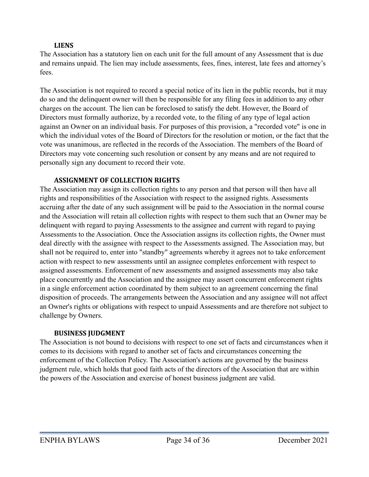## <span id="page-33-0"></span>**LIENS**

The Association has a statutory lien on each unit for the full amount of any Assessment that is due and remains unpaid. The lien may include assessments, fees, fines, interest, late fees and attorney's fees.

The Association is not required to record a special notice of its lien in the public records, but it may do so and the delinquent owner will then be responsible for any filing fees in addition to any other charges on the account. The lien can be foreclosed to satisfy the debt. However, the Board of Directors must formally authorize, by a recorded vote, to the filing of any type of legal action against an Owner on an individual basis. For purposes of this provision, a "recorded vote" is one in which the individual votes of the Board of Directors for the resolution or motion, or the fact that the vote was unanimous, are reflected in the records of the Association. The members of the Board of Directors may vote concerning such resolution or consent by any means and are not required to personally sign any document to record their vote.

## <span id="page-33-1"></span>**ASSIGNMENT OF COLLECTION RIGHTS**

The Association may assign its collection rights to any person and that person will then have all rights and responsibilities of the Association with respect to the assigned rights. Assessments accruing after the date of any such assignment will be paid to the Association in the normal course and the Association will retain all collection rights with respect to them such that an Owner may be delinquent with regard to paying Assessments to the assignee and current with regard to paying Assessments to the Association. Once the Association assigns its collection rights, the Owner must deal directly with the assignee with respect to the Assessments assigned. The Association may, but shall not be required to, enter into "standby" agreements whereby it agrees not to take enforcement action with respect to new assessments until an assignee completes enforcement with respect to assigned assessments. Enforcement of new assessments and assigned assessments may also take place concurrently and the Association and the assignee may assert concurrent enforcement rights in a single enforcement action coordinated by them subject to an agreement concerning the final disposition of proceeds. The arrangements between the Association and any assignee will not affect an Owner's rights or obligations with respect to unpaid Assessments and are therefore not subject to challenge by Owners.

## <span id="page-33-2"></span>**BUSINESS JUDGMENT**

The Association is not bound to decisions with respect to one set of facts and circumstances when it comes to its decisions with regard to another set of facts and circumstances concerning the enforcement of the Collection Policy. The Association's actions are governed by the business judgment rule, which holds that good faith acts of the directors of the Association that are within the powers of the Association and exercise of honest business judgment are valid.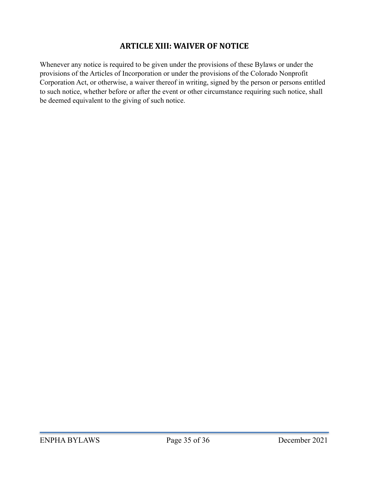# <span id="page-34-0"></span>**ARTICLE XIII: WAIVER OF NOTICE**

Whenever any notice is required to be given under the provisions of these Bylaws or under the provisions of the Articles of Incorporation or under the provisions of the Colorado Nonprofit Corporation Act, or otherwise, a waiver thereof in writing, signed by the person or persons entitled to such notice, whether before or after the event or other circumstance requiring such notice, shall be deemed equivalent to the giving of such notice.